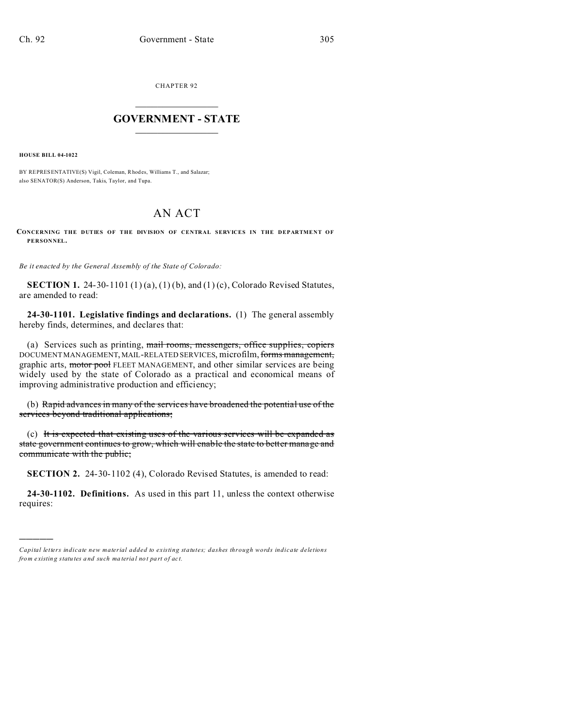CHAPTER 92  $\overline{\phantom{a}}$  , where  $\overline{\phantom{a}}$ 

## **GOVERNMENT - STATE**  $\_$   $\_$

**HOUSE BILL 04-1022**

)))))

BY REPRESENTATIVE(S) Vigil, Coleman, Rhodes, Williams T., and Salazar; also SENATOR(S) Anderson, Takis, Taylor, and Tupa.

## AN ACT

**CONCERNING THE DUTIES OF THE DIVISION OF CENTRAL SERVICES IN THE DEPARTMENT OF PERSONNEL.**

*Be it enacted by the General Assembly of the State of Colorado:*

**SECTION 1.** 24-30-1101 (1) (a), (1) (b), and (1) (c), Colorado Revised Statutes, are amended to read:

**24-30-1101. Legislative findings and declarations.** (1) The general assembly hereby finds, determines, and declares that:

(a) Services such as printing, mail rooms, messengers, office supplies, copiers DOCUMENT MANAGEMENT, MAIL-RELATED SERVICES, microfilm, forms management, graphic arts, motor pool FLEET MANAGEMENT, and other similar services are being widely used by the state of Colorado as a practical and economical means of improving administrative production and efficiency;

(b) Rapid advances in many of the services have broadened the potential use of the services beyond traditional applications;

(c) It is expected that existing uses of the various services will be expanded as state government continues to grow, which will enable the state to better manage and communicate with the public;

**SECTION 2.** 24-30-1102 (4), Colorado Revised Statutes, is amended to read:

**24-30-1102. Definitions.** As used in this part 11, unless the context otherwise requires:

*Capital letters indicate new material added to existing statutes; dashes through words indicate deletions from e xistin g statu tes a nd such ma teria l no t pa rt of ac t.*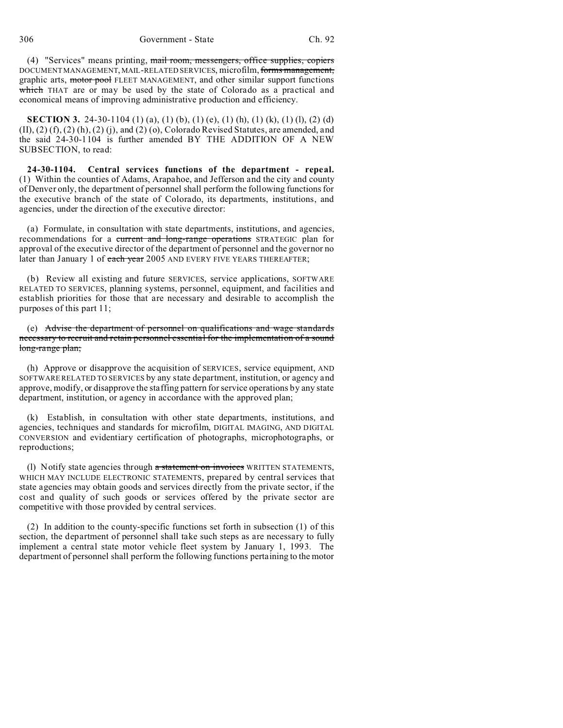(4) "Services" means printing, mail room, messengers, office supplies, copiers DOCUMENT MANAGEMENT, MAIL-RELATED SERVICES, microfilm, forms management, graphic arts, motor pool FLEET MANAGEMENT, and other similar support functions which THAT are or may be used by the state of Colorado as a practical and economical means of improving administrative production and efficiency.

**SECTION 3.** 24-30-1104 (1) (a), (1) (b), (1) (e), (1) (h), (1) (k), (1) (l), (2) (d)  $(II)$ ,  $(2)$   $(f)$ ,  $(2)$   $(h)$ ,  $(2)$   $(i)$ , and  $(2)$   $(o)$ , Colorado Revised Statutes, are amended, and the said 24-30-1104 is further amended BY THE ADDITION OF A NEW SUBSECTION, to read:

**24-30-1104. Central services functions of the department - repeal.** (1) Within the counties of Adams, Arapahoe, and Jefferson and the city and county of Denver only, the department of personnel shall perform the following functions for the executive branch of the state of Colorado, its departments, institutions, and agencies, under the direction of the executive director:

(a) Formulate, in consultation with state departments, institutions, and agencies, recommendations for a current and long-range operations STRATEGIC plan for approval of the executive director of the department of personnel and the governor no later than January 1 of each year 2005 AND EVERY FIVE YEARS THEREAFTER;

(b) Review all existing and future SERVICES, service applications, SOFTWARE RELATED TO SERVICES, planning systems, personnel, equipment, and facilities and establish priorities for those that are necessary and desirable to accomplish the purposes of this part 11;

(e) Advise the department of personnel on qualifications and wage standards necessary to recruit and retain personnel essential for the implementation of a sound long-range plan;

(h) Approve or disapprove the acquisition of SERVICES, service equipment, AND SOFTWARE RELATED TO SERVICES by any state department, institution, or agency and approve, modify, or disapprove the staffing pattern for service operations by any state department, institution, or agency in accordance with the approved plan;

(k) Establish, in consultation with other state departments, institutions, and agencies, techniques and standards for microfilm, DIGITAL IMAGING, AND DIGITAL CONVERSION and evidentiary certification of photographs, microphotographs, or reproductions;

(I) Notify state agencies through a statement on invoices WRITTEN STATEMENTS, WHICH MAY INCLUDE ELECTRONIC STATEMENTS, prepared by central services that state agencies may obtain goods and services directly from the private sector, if the cost and quality of such goods or services offered by the private sector are competitive with those provided by central services.

(2) In addition to the county-specific functions set forth in subsection (1) of this section, the department of personnel shall take such steps as are necessary to fully implement a central state motor vehicle fleet system by January 1, 1993. The department of personnel shall perform the following functions pertaining to the motor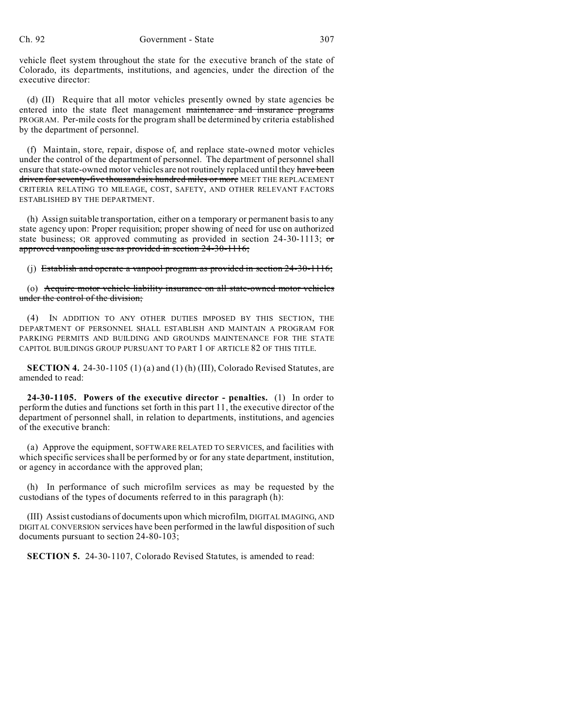vehicle fleet system throughout the state for the executive branch of the state of Colorado, its departments, institutions, and agencies, under the direction of the executive director:

(d) (II) Require that all motor vehicles presently owned by state agencies be entered into the state fleet management maintenance and insurance programs PROGRAM. Per-mile costs for the program shall be determined by criteria established by the department of personnel.

(f) Maintain, store, repair, dispose of, and replace state-owned motor vehicles under the control of the department of personnel. The department of personnel shall ensure that state-owned motor vehicles are not routinely replaced until they have been driven for seventy-five thousand six hundred miles or more MEET THE REPLACEMENT CRITERIA RELATING TO MILEAGE, COST, SAFETY, AND OTHER RELEVANT FACTORS ESTABLISHED BY THE DEPARTMENT.

(h) Assign suitable transportation, either on a temporary or permanent basis to any state agency upon: Proper requisition; proper showing of need for use on authorized state business; OR approved commuting as provided in section 24-30-1113;  $\sigma$ approved vanpooling use as provided in section 24-30-1116;

(j) Establish and operate a vanpool program as provided in section 24-30-1116;

(o) Acquire motor vehicle liability insurance on all state-owned motor vehicles under the control of the division;

(4) IN ADDITION TO ANY OTHER DUTIES IMPOSED BY THIS SECTION, THE DEPARTMENT OF PERSONNEL SHALL ESTABLISH AND MAINTAIN A PROGRAM FOR PARKING PERMITS AND BUILDING AND GROUNDS MAINTENANCE FOR THE STATE CAPITOL BUILDINGS GROUP PURSUANT TO PART 1 OF ARTICLE 82 OF THIS TITLE.

**SECTION 4.** 24-30-1105 (1) (a) and (1) (h) (III), Colorado Revised Statutes, are amended to read:

**24-30-1105. Powers of the executive director - penalties.** (1) In order to perform the duties and functions set forth in this part 11, the executive director of the department of personnel shall, in relation to departments, institutions, and agencies of the executive branch:

(a) Approve the equipment, SOFTWARE RELATED TO SERVICES, and facilities with which specific services shall be performed by or for any state department, institution, or agency in accordance with the approved plan;

(h) In performance of such microfilm services as may be requested by the custodians of the types of documents referred to in this paragraph (h):

(III) Assist custodians of documents upon which microfilm, DIGITAL IMAGING, AND DIGITAL CONVERSION services have been performed in the lawful disposition of such documents pursuant to section 24-80-103;

**SECTION 5.** 24-30-1107, Colorado Revised Statutes, is amended to read: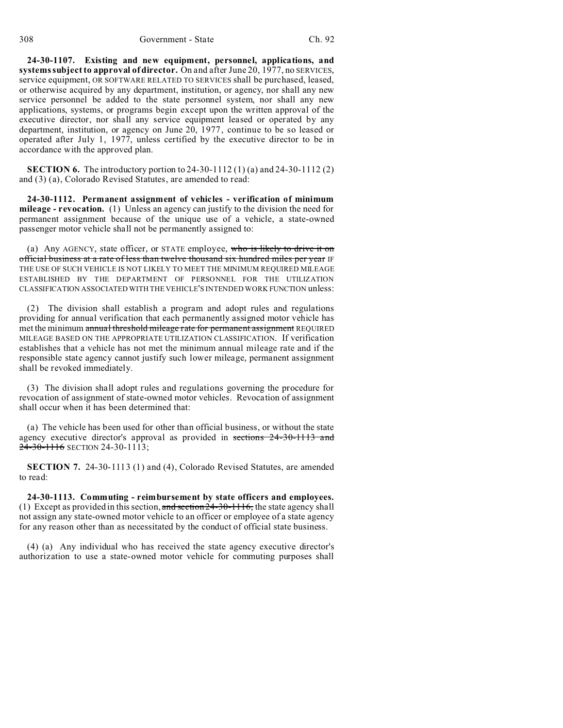**24-30-1107. Existing and new equipment, personnel, applications, and systems subject to approval of director.** On and after June 20, 1977, no SERVICES, service equipment, OR SOFTWARE RELATED TO SERVICES shall be purchased, leased, or otherwise acquired by any department, institution, or agency, nor shall any new service personnel be added to the state personnel system, nor shall any new applications, systems, or programs begin except upon the written approval of the executive director, nor shall any service equipment leased or operated by any department, institution, or agency on June 20, 1977, continue to be so leased or operated after July 1, 1977, unless certified by the executive director to be in accordance with the approved plan.

**SECTION 6.** The introductory portion to 24-30-1112 (1) (a) and 24-30-1112 (2) and (3) (a), Colorado Revised Statutes, are amended to read:

**24-30-1112. Permanent assignment of vehicles - verification of minimum mileage - revocation.** (1) Unless an agency can justify to the division the need for permanent assignment because of the unique use of a vehicle, a state-owned passenger motor vehicle shall not be permanently assigned to:

(a) Any AGENCY, state officer, or STATE employee, who is likely to drive it on official business at a rate of less than twelve thousand six hundred miles per year IF THE USE OF SUCH VEHICLE IS NOT LIKELY TO MEET THE MINIMUM REQUIRED MILEAGE ESTABLISHED BY THE DEPARTMENT OF PERSONNEL FOR THE UTILIZATION CLASSIFICATION ASSOCIATED WITH THE VEHICLE'S INTENDED WORK FUNCTION unless:

(2) The division shall establish a program and adopt rules and regulations providing for annual verification that each permanently assigned motor vehicle has met the minimum annual threshold mileage rate for permanent assignment REQUIRED MILEAGE BASED ON THE APPROPRIATE UTILIZATION CLASSIFICATION. If verification establishes that a vehicle has not met the minimum annual mileage rate and if the responsible state agency cannot justify such lower mileage, permanent assignment shall be revoked immediately.

(3) The division shall adopt rules and regulations governing the procedure for revocation of assignment of state-owned motor vehicles. Revocation of assignment shall occur when it has been determined that:

(a) The vehicle has been used for other than official business, or without the state agency executive director's approval as provided in sections 24-30-1113 and 24-30-1116 SECTION 24-30-1113;

**SECTION 7.** 24-30-1113 (1) and (4), Colorado Revised Statutes, are amended to read:

**24-30-1113. Commuting - reimbursement by state officers and employees.** (1) Except as provided in this section, and section  $24-30-1116$ , the state agency shall not assign any state-owned motor vehicle to an officer or employee of a state agency for any reason other than as necessitated by the conduct of official state business.

(4) (a) Any individual who has received the state agency executive director's authorization to use a state-owned motor vehicle for commuting purposes shall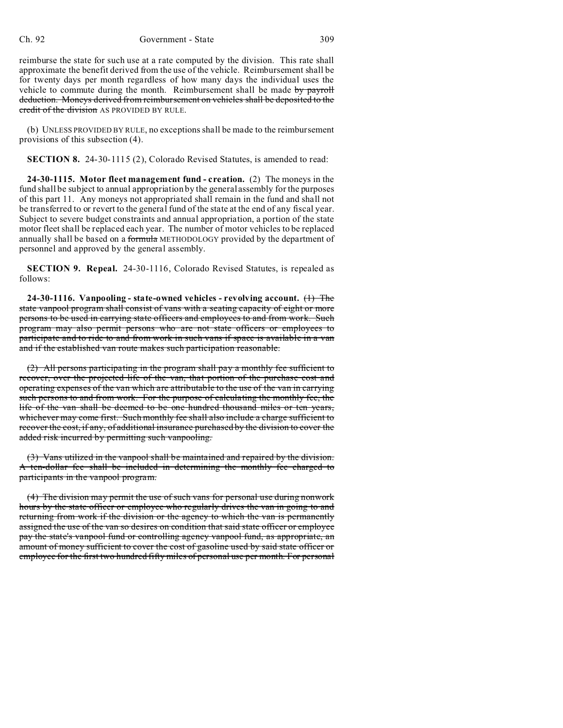reimburse the state for such use at a rate computed by the division. This rate shall approximate the benefit derived from the use of the vehicle. Reimbursement shall be for twenty days per month regardless of how many days the individual uses the vehicle to commute during the month. Reimbursement shall be made by payroll deduction. Moneys derived from reimbursement on vehicles shall be deposited to the credit of the division AS PROVIDED BY RULE.

(b) UNLESS PROVIDED BY RULE, no exceptions shall be made to the reimbursement provisions of this subsection (4).

**SECTION 8.** 24-30-1115 (2), Colorado Revised Statutes, is amended to read:

**24-30-1115. Motor fleet management fund - creation.** (2) The moneys in the fund shall be subject to annual appropriation by the general assembly for the purposes of this part 11. Any moneys not appropriated shall remain in the fund and shall not be transferred to or revert to the general fund of the state at the end of any fiscal year. Subject to severe budget constraints and annual appropriation, a portion of the state motor fleet shall be replaced each year. The number of motor vehicles to be replaced annually shall be based on a formula METHODOLOGY provided by the department of personnel and approved by the general assembly.

**SECTION 9. Repeal.** 24-30-1116, Colorado Revised Statutes, is repealed as follows:

**24-30-1116. Vanpooling - state-owned vehicles - revolving account.** (1) The state vanpool program shall consist of vans with a seating capacity of eight or more persons to be used in carrying state officers and employees to and from work. Such program may also permit persons who are not state officers or employees to participate and to ride to and from work in such vans if space is available in a van and if the established van route makes such participation reasonable.

(2) All persons participating in the program shall pay a monthly fee sufficient to recover, over the projected life of the van, that portion of the purchase cost and operating expenses of the van which are attributable to the use of the van in carrying such persons to and from work. For the purpose of calculating the monthly fee, the life of the van shall be deemed to be one hundred thousand miles or ten years, whichever may come first. Such monthly fee shall also include a charge sufficient to recover the cost, if any, of additional insurance purchased by the division to cover the added risk incurred by permitting such vanpooling.

(3) Vans utilized in the vanpool shall be maintained and repaired by the division. A ten-dollar fee shall be included in determining the monthly fee charged to participants in the vanpool program.

(4) The division may permit the use of such vans for personal use during nonwork hours by the state officer or employee who regularly drives the van in going to and returning from work if the division or the agency to which the van is permanently assigned the use of the van so desires on condition that said state officer or employee pay the state's vanpool fund or controlling agency vanpool fund, as appropriate, an amount of money sufficient to cover the cost of gasoline used by said state officer or employee for the first two hundred fifty miles of personal use per month. For personal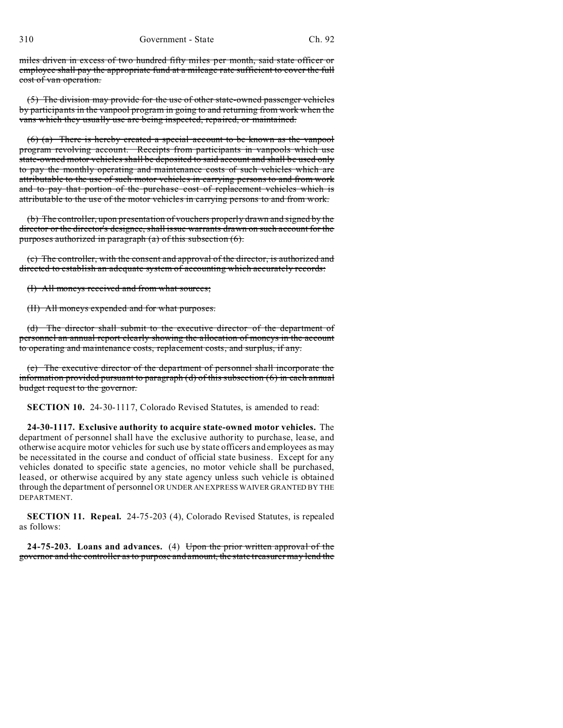miles driven in excess of two hundred fifty miles per month, said state officer or employee shall pay the appropriate fund at a mileage rate sufficient to cover the full cost of van operation.

(5) The division may provide for the use of other state-owned passenger vehicles by participants in the vanpool program in going to and returning from work when the vans which they usually use are being inspected, repaired, or maintained.

(6) (a) There is hereby created a special account to be known as the vanpool program revolving account. Receipts from participants in vanpools which use state-owned motor vehicles shall be deposited to said account and shall be used only to pay the monthly operating and maintenance costs of such vehicles which are attributable to the use of such motor vehicles in carrying persons to and from work and to pay that portion of the purchase cost of replacement vehicles which is attributable to the use of the motor vehicles in carrying persons to and from work.

(b) The controller, upon presentation of vouchers properly drawn and signed by the director or the director's designee, shall issue warrants drawn on such account for the purposes authorized in paragraph (a) of this subsection (6).

(c) The controller, with the consent and approval of the director, is authorized and directed to establish an adequate system of accounting which accurately records:

(I) All moneys received and from what sources;

(II) All moneys expended and for what purposes.

(d) The director shall submit to the executive director of the department of personnel an annual report clearly showing the allocation of moneys in the account to operating and maintenance costs, replacement costs, and surplus, if any.

(e) The executive director of the department of personnel shall incorporate the information provided pursuant to paragraph  $(d)$  of this subsection  $(6)$  in each annual budget request to the governor.

**SECTION 10.** 24-30-1117, Colorado Revised Statutes, is amended to read:

**24-30-1117. Exclusive authority to acquire state-owned motor vehicles.** The department of personnel shall have the exclusive authority to purchase, lease, and otherwise acquire motor vehicles for such use by state officers and employees as may be necessitated in the course and conduct of official state business. Except for any vehicles donated to specific state agencies, no motor vehicle shall be purchased, leased, or otherwise acquired by any state agency unless such vehicle is obtained through the department of personnel OR UNDER AN EXPRESS WAIVER GRANTED BY THE DEPARTMENT.

**SECTION 11. Repeal.** 24-75-203 (4), Colorado Revised Statutes, is repealed as follows:

**24-75-203. Loans and advances.** (4) Upon the prior written approval of the governor and the controller as to purpose and amount, the state treasurer may lend the